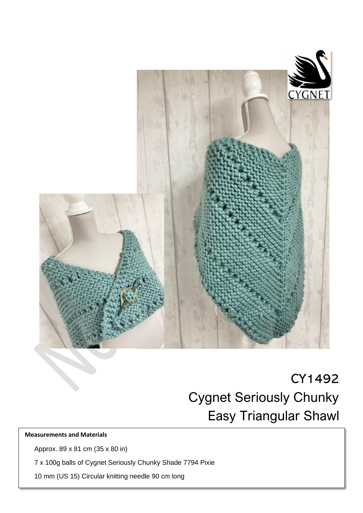

 $\overline{a}$ 

# CY1492 Cygnet Seriously Chunky Easy Triangular Shawl

# **Measurements and Materials**

Approx. 89 x 81 cm (35 x 80 in)

7 x 100g balls of Cygnet Seriously Chunky Shade 7794 Pixie

10 mm (US 15) Circular knitting needle 90 cm long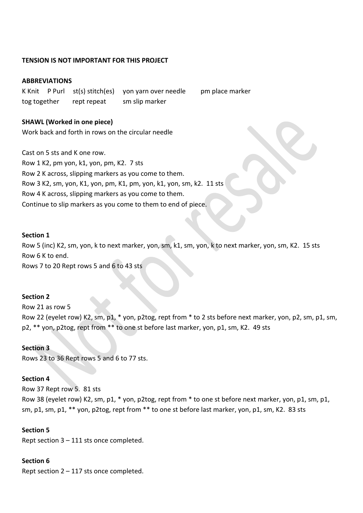## **TENSION IS NOT IMPORTANT FOR THIS PROJECT**

#### **ABBREVIATIONS**

K Knit P Purl st(s) stitch(es) yon yarn over needle pm place marker tog together rept repeat sm slip marker

**SHAWL (Worked in one piece)** Work back and forth in rows on the circular needle

Cast on 5 sts and K one row. Row 1 K2, pm yon, k1, yon, pm, K2. 7 sts Row 2 K across, slipping markers as you come to them. Row 3 K2, sm, yon, K1, yon, pm, K1, pm, yon, k1, yon, sm, k2. 11 sts Row 4 K across, slipping markers as you come to them. Continue to slip markers as you come to them to end of piece.

#### **Section 1**

Row 5 (inc) K2, sm, yon, k to next marker, yon, sm, k1, sm, yon, k to next marker, yon, sm, K2. 15 sts Row 6 K to end. Rows 7 to 20 Rept rows 5 and 6 to 43 sts

#### **Section 2**

Row 21 as row 5 Row 22 (eyelet row) K2, sm, p1, \* yon, p2tog, rept from \* to 2 sts before next marker, yon, p2, sm, p1, sm, p2, \*\* yon, p2tog, rept from \*\* to one st before last marker, yon, p1, sm, K2. 49 sts

#### **Section 3**

Rows 23 to 36 Rept rows 5 and 6 to 77 sts.

# **Section 4**

Row 37 Rept row 5. 81 sts Row 38 (eyelet row) K2, sm, p1, \* yon, p2tog, rept from \* to one st before next marker, yon, p1, sm, p1, sm, p1, sm, p1, \*\* yon, p2tog, rept from \*\* to one st before last marker, yon, p1, sm, K2. 83 sts

## **Section 5**

Rept section 3 – 111 sts once completed.

#### **Section 6**

Rept section 2 – 117 sts once completed.